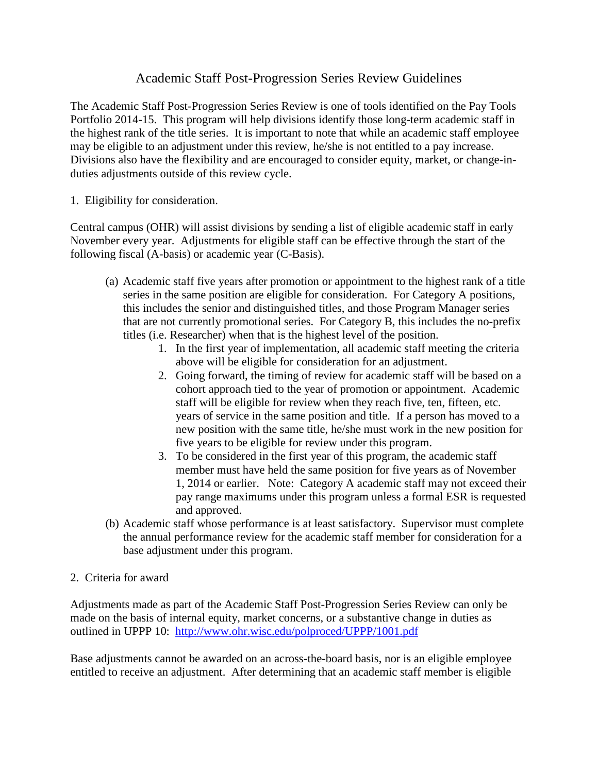## Academic Staff Post-Progression Series Review Guidelines

The Academic Staff Post-Progression Series Review is one of tools identified on the Pay Tools Portfolio 2014-15. This program will help divisions identify those long-term academic staff in the highest rank of the title series. It is important to note that while an academic staff employee may be eligible to an adjustment under this review, he/she is not entitled to a pay increase. Divisions also have the flexibility and are encouraged to consider equity, market, or change-induties adjustments outside of this review cycle.

1. Eligibility for consideration.

Central campus (OHR) will assist divisions by sending a list of eligible academic staff in early November every year. Adjustments for eligible staff can be effective through the start of the following fiscal (A-basis) or academic year (C-Basis).

- (a) Academic staff five years after promotion or appointment to the highest rank of a title series in the same position are eligible for consideration. For Category A positions, this includes the senior and distinguished titles, and those Program Manager series that are not currently promotional series. For Category B, this includes the no-prefix titles (i.e. Researcher) when that is the highest level of the position.
	- 1. In the first year of implementation, all academic staff meeting the criteria above will be eligible for consideration for an adjustment.
	- 2. Going forward, the timing of review for academic staff will be based on a cohort approach tied to the year of promotion or appointment. Academic staff will be eligible for review when they reach five, ten, fifteen, etc. years of service in the same position and title. If a person has moved to a new position with the same title, he/she must work in the new position for five years to be eligible for review under this program.
	- 3. To be considered in the first year of this program, the academic staff member must have held the same position for five years as of November 1, 2014 or earlier. Note: Category A academic staff may not exceed their pay range maximums under this program unless a formal ESR is requested and approved.
- (b) Academic staff whose performance is at least satisfactory. Supervisor must complete the annual performance review for the academic staff member for consideration for a base adjustment under this program.
- 2. Criteria for award

Adjustments made as part of the Academic Staff Post-Progression Series Review can only be made on the basis of internal equity, market concerns, or a substantive change in duties as outlined in UPPP 10: <http://www.ohr.wisc.edu/polproced/UPPP/1001.pdf>

Base adjustments cannot be awarded on an across-the-board basis, nor is an eligible employee entitled to receive an adjustment. After determining that an academic staff member is eligible